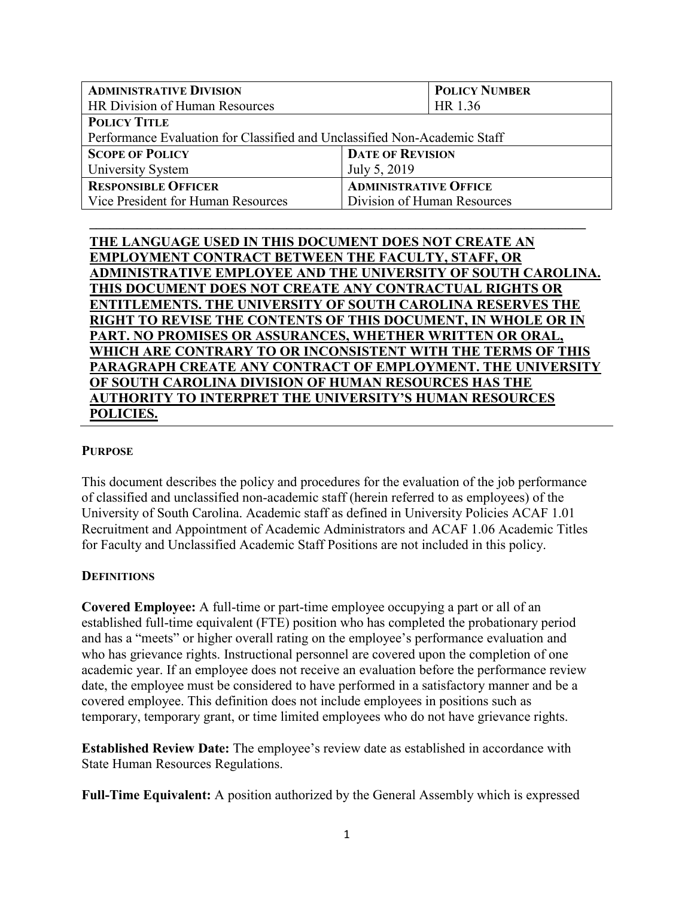| <b>ADMINISTRATIVE DIVISION</b>                                            |                              | <b>POLICY NUMBER</b>        |  |
|---------------------------------------------------------------------------|------------------------------|-----------------------------|--|
| HR Division of Human Resources                                            |                              | HR 1.36                     |  |
| <b>POLICY TITLE</b>                                                       |                              |                             |  |
| Performance Evaluation for Classified and Unclassified Non-Academic Staff |                              |                             |  |
| <b>SCOPE OF POLICY</b>                                                    | <b>DATE OF REVISION</b>      |                             |  |
| University System                                                         | July 5, 2019                 |                             |  |
| <b>RESPONSIBLE OFFICER</b>                                                | <b>ADMINISTRATIVE OFFICE</b> |                             |  |
| Vice President for Human Resources                                        |                              | Division of Human Resources |  |

**\_\_\_\_\_\_\_\_\_\_\_\_\_\_\_\_\_\_\_\_\_\_\_\_\_\_\_\_\_\_\_\_\_\_\_\_\_\_\_\_\_\_\_\_\_\_\_\_\_\_\_\_\_\_\_\_\_\_\_\_\_\_\_\_\_\_\_\_\_\_\_\_\_**

**THE LANGUAGE USED IN THIS DOCUMENT DOES NOT CREATE AN EMPLOYMENT CONTRACT BETWEEN THE FACULTY, STAFF, OR ADMINISTRATIVE EMPLOYEE AND THE UNIVERSITY OF SOUTH CAROLINA. THIS DOCUMENT DOES NOT CREATE ANY CONTRACTUAL RIGHTS OR ENTITLEMENTS. THE UNIVERSITY OF SOUTH CAROLINA RESERVES THE RIGHT TO REVISE THE CONTENTS OF THIS DOCUMENT, IN WHOLE OR IN PART. NO PROMISES OR ASSURANCES, WHETHER WRITTEN OR ORAL, WHICH ARE CONTRARY TO OR INCONSISTENT WITH THE TERMS OF THIS PARAGRAPH CREATE ANY CONTRACT OF EMPLOYMENT. THE UNIVERSITY OF SOUTH CAROLINA DIVISION OF HUMAN RESOURCES HAS THE AUTHORITY TO INTERPRET THE UNIVERSITY'S HUMAN RESOURCES POLICIES.**

#### **PURPOSE**

This document describes the policy and procedures for the evaluation of the job performance of classified and unclassified non-academic staff (herein referred to as employees) of the University of South Carolina. Academic staff as defined in University Policies ACAF 1.01 Recruitment and Appointment of Academic Administrators and ACAF 1.06 Academic Titles for Faculty and Unclassified Academic Staff Positions are not included in this policy.

#### **DEFINITIONS**

**Covered Employee:** A full-time or part-time employee occupying a part or all of an established full-time equivalent (FTE) position who has completed the probationary period and has a "meets" or higher overall rating on the employee's performance evaluation and who has grievance rights. Instructional personnel are covered upon the completion of one academic year. If an employee does not receive an evaluation before the performance review date, the employee must be considered to have performed in a satisfactory manner and be a covered employee. This definition does not include employees in positions such as temporary, temporary grant, or time limited employees who do not have grievance rights.

**Established Review Date:** The employee's review date as established in accordance with State Human Resources Regulations.

**Full-Time Equivalent:** A position authorized by the General Assembly which is expressed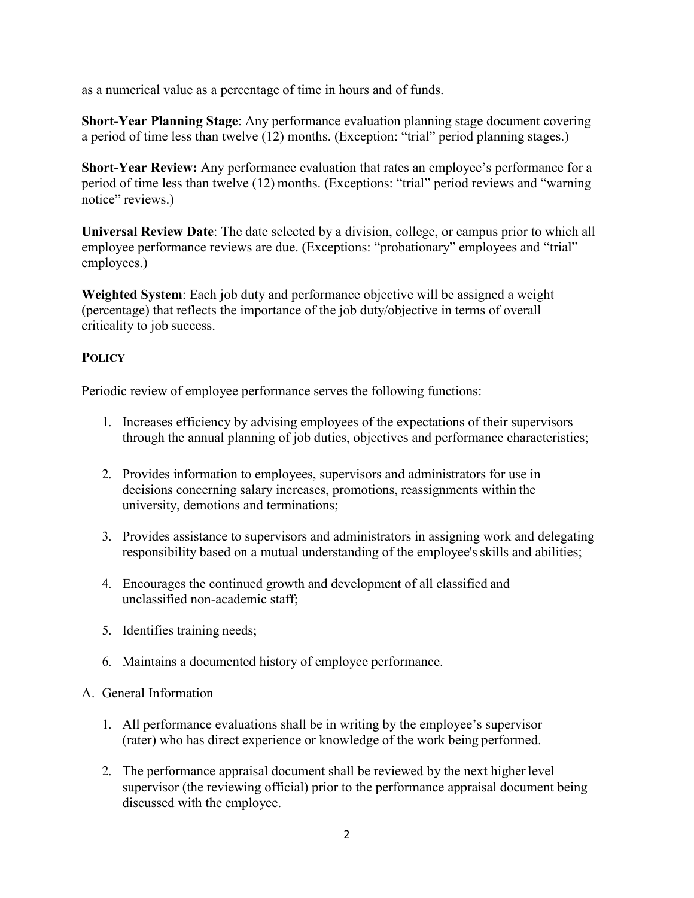as a numerical value as a percentage of time in hours and of funds.

**Short-Year Planning Stage**: Any performance evaluation planning stage document covering a period of time less than twelve (12) months. (Exception: "trial" period planning stages.)

**Short-Year Review:** Any performance evaluation that rates an employee's performance for a period of time less than twelve (12) months. (Exceptions: "trial" period reviews and "warning notice" reviews.)

**Universal Review Date**: The date selected by a division, college, or campus prior to which all employee performance reviews are due. (Exceptions: "probationary" employees and "trial" employees.)

**Weighted System**: Each job duty and performance objective will be assigned a weight (percentage) that reflects the importance of the job duty/objective in terms of overall criticality to job success.

# **POLICY**

Periodic review of employee performance serves the following functions:

- 1. Increases efficiency by advising employees of the expectations of their supervisors through the annual planning of job duties, objectives and performance characteristics;
- 2. Provides information to employees, supervisors and administrators for use in decisions concerning salary increases, promotions, reassignments within the university, demotions and terminations;
- 3. Provides assistance to supervisors and administrators in assigning work and delegating responsibility based on a mutual understanding of the employee's skills and abilities;
- 4. Encourages the continued growth and development of all classified and unclassified non-academic staff;
- 5. Identifies training needs;
- 6. Maintains a documented history of employee performance.

## A. General Information

- 1. All performance evaluations shall be in writing by the employee's supervisor (rater) who has direct experience or knowledge of the work being performed.
- 2. The performance appraisal document shall be reviewed by the next higher level supervisor (the reviewing official) prior to the performance appraisal document being discussed with the employee.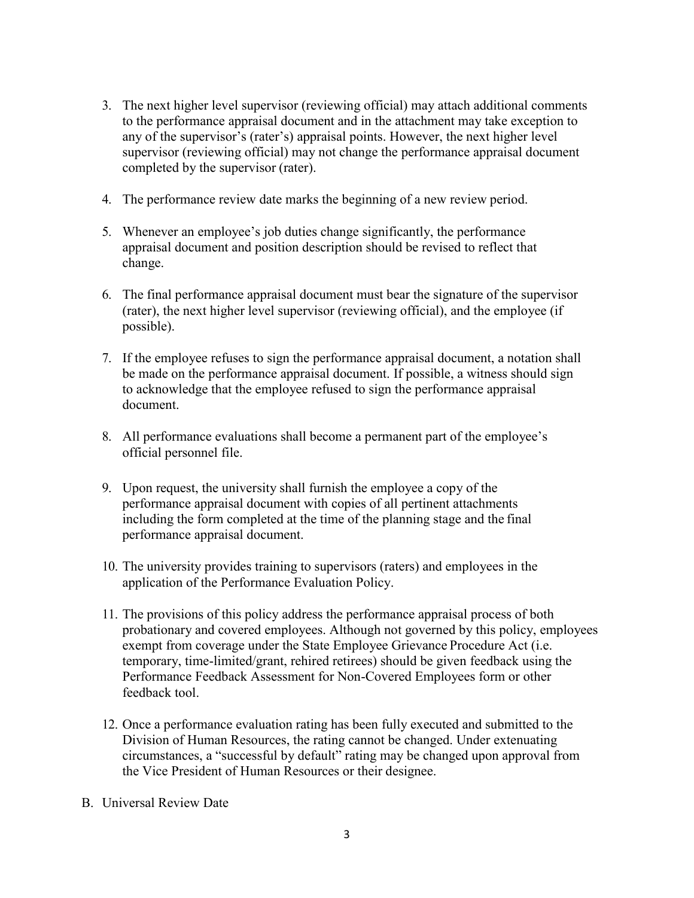- 3. The next higher level supervisor (reviewing official) may attach additional comments to the performance appraisal document and in the attachment may take exception to any of the supervisor's (rater's) appraisal points. However, the next higher level supervisor (reviewing official) may not change the performance appraisal document completed by the supervisor (rater).
- 4. The performance review date marks the beginning of a new review period.
- 5. Whenever an employee's job duties change significantly, the performance appraisal document and position description should be revised to reflect that change.
- 6. The final performance appraisal document must bear the signature of the supervisor (rater), the next higher level supervisor (reviewing official), and the employee (if possible).
- 7. If the employee refuses to sign the performance appraisal document, a notation shall be made on the performance appraisal document. If possible, a witness should sign to acknowledge that the employee refused to sign the performance appraisal document.
- 8. All performance evaluations shall become a permanent part of the employee's official personnel file.
- 9. Upon request, the university shall furnish the employee a copy of the performance appraisal document with copies of all pertinent attachments including the form completed at the time of the planning stage and the final performance appraisal document.
- 10. The university provides training to supervisors (raters) and employees in the application of the Performance Evaluation Policy.
- 11. The provisions of this policy address the performance appraisal process of both probationary and covered employees. Although not governed by this policy, employees exempt from coverage under the State Employee Grievance Procedure Act (i.e. temporary, time-limited/grant, rehired retirees) should be given feedback using the Performance Feedback Assessment for Non-Covered Employees form or other feedback tool.
- 12. Once a performance evaluation rating has been fully executed and submitted to the Division of Human Resources, the rating cannot be changed. Under extenuating circumstances, a "successful by default" rating may be changed upon approval from the Vice President of Human Resources or their designee.
- B. Universal Review Date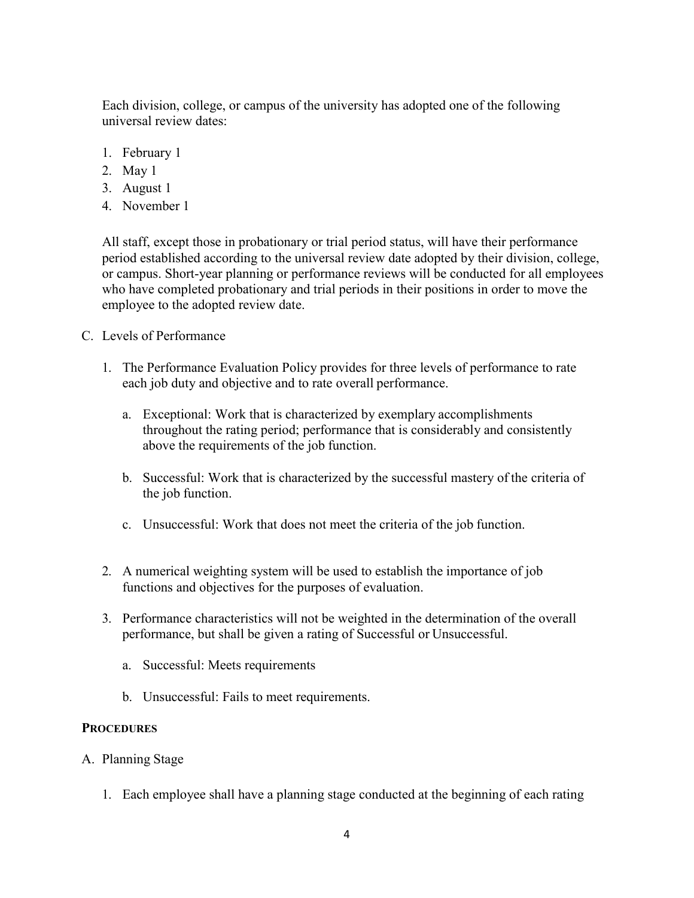Each division, college, or campus of the university has adopted one of the following universal review dates:

- 1. February 1
- 2. May 1
- 3. August 1
- 4. November 1

All staff, except those in probationary or trial period status, will have their performance period established according to the universal review date adopted by their division, college, or campus. Short-year planning or performance reviews will be conducted for all employees who have completed probationary and trial periods in their positions in order to move the employee to the adopted review date.

- C. Levels of Performance
	- 1. The Performance Evaluation Policy provides for three levels of performance to rate each job duty and objective and to rate overall performance.
		- a. Exceptional: Work that is characterized by exemplary accomplishments throughout the rating period; performance that is considerably and consistently above the requirements of the job function.
		- b. Successful: Work that is characterized by the successful mastery of the criteria of the job function.
		- c. Unsuccessful: Work that does not meet the criteria of the job function.
	- 2. A numerical weighting system will be used to establish the importance of job functions and objectives for the purposes of evaluation.
	- 3. Performance characteristics will not be weighted in the determination of the overall performance, but shall be given a rating of Successful or Unsuccessful.
		- a. Successful: Meets requirements
		- b. Unsuccessful: Fails to meet requirements.

#### **PROCEDURES**

- A. Planning Stage
	- 1. Each employee shall have a planning stage conducted at the beginning of each rating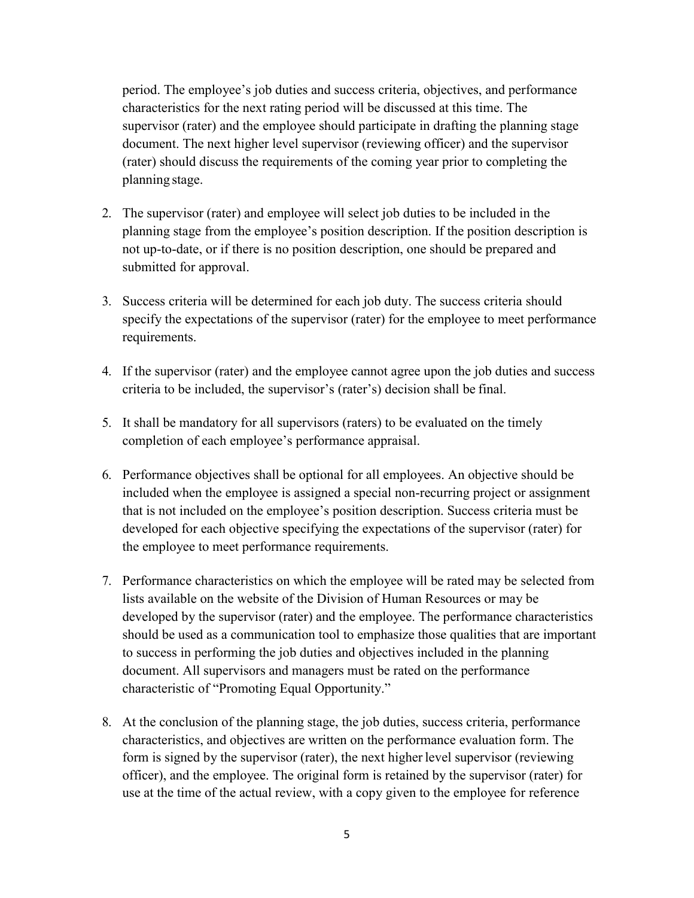period. The employee's job duties and success criteria, objectives, and performance characteristics for the next rating period will be discussed at this time. The supervisor (rater) and the employee should participate in drafting the planning stage document. The next higher level supervisor (reviewing officer) and the supervisor (rater) should discuss the requirements of the coming year prior to completing the planning stage.

- 2. The supervisor (rater) and employee will select job duties to be included in the planning stage from the employee's position description. If the position description is not up-to-date, or if there is no position description, one should be prepared and submitted for approval.
- 3. Success criteria will be determined for each job duty. The success criteria should specify the expectations of the supervisor (rater) for the employee to meet performance requirements.
- 4. If the supervisor (rater) and the employee cannot agree upon the job duties and success criteria to be included, the supervisor's (rater's) decision shall be final.
- 5. It shall be mandatory for all supervisors (raters) to be evaluated on the timely completion of each employee's performance appraisal.
- 6. Performance objectives shall be optional for all employees. An objective should be included when the employee is assigned a special non-recurring project or assignment that is not included on the employee's position description. Success criteria must be developed for each objective specifying the expectations of the supervisor (rater) for the employee to meet performance requirements.
- 7. Performance characteristics on which the employee will be rated may be selected from lists available on the website of the Division of Human Resources or may be developed by the supervisor (rater) and the employee. The performance characteristics should be used as a communication tool to emphasize those qualities that are important to success in performing the job duties and objectives included in the planning document. All supervisors and managers must be rated on the performance characteristic of "Promoting Equal Opportunity."
- 8. At the conclusion of the planning stage, the job duties, success criteria, performance characteristics, and objectives are written on the performance evaluation form. The form is signed by the supervisor (rater), the next higher level supervisor (reviewing officer), and the employee. The original form is retained by the supervisor (rater) for use at the time of the actual review, with a copy given to the employee for reference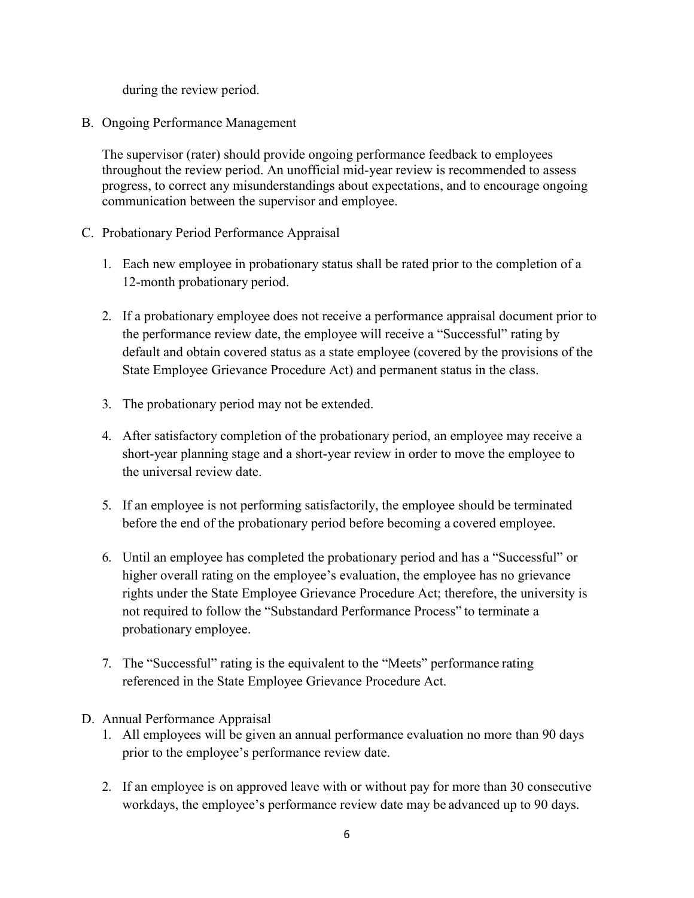during the review period.

B. Ongoing Performance Management

The supervisor (rater) should provide ongoing performance feedback to employees throughout the review period. An unofficial mid-year review is recommended to assess progress, to correct any misunderstandings about expectations, and to encourage ongoing communication between the supervisor and employee.

- C. Probationary Period Performance Appraisal
	- 1. Each new employee in probationary status shall be rated prior to the completion of a 12-month probationary period.
	- 2. If a probationary employee does not receive a performance appraisal document prior to the performance review date, the employee will receive a "Successful" rating by default and obtain covered status as a state employee (covered by the provisions of the State Employee Grievance Procedure Act) and permanent status in the class.
	- 3. The probationary period may not be extended.
	- 4. After satisfactory completion of the probationary period, an employee may receive a short-year planning stage and a short-year review in order to move the employee to the universal review date.
	- 5. If an employee is not performing satisfactorily, the employee should be terminated before the end of the probationary period before becoming a covered employee.
	- 6. Until an employee has completed the probationary period and has a "Successful" or higher overall rating on the employee's evaluation, the employee has no grievance rights under the State Employee Grievance Procedure Act; therefore, the university is not required to follow the "Substandard Performance Process" to terminate a probationary employee.
	- 7. The "Successful" rating is the equivalent to the "Meets" performance rating referenced in the State Employee Grievance Procedure Act.
- D. Annual Performance Appraisal
	- 1. All employees will be given an annual performance evaluation no more than 90 days prior to the employee's performance review date.
	- 2. If an employee is on approved leave with or without pay for more than 30 consecutive workdays, the employee's performance review date may be advanced up to 90 days.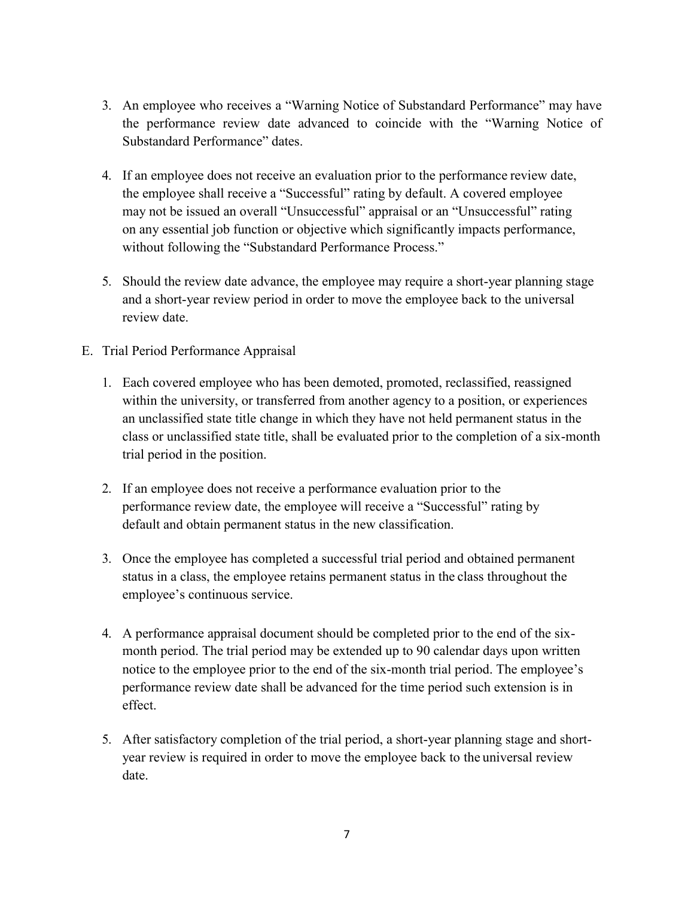- 3. An employee who receives a "Warning Notice of Substandard Performance" may have the performance review date advanced to coincide with the "Warning Notice of Substandard Performance" dates.
- 4. If an employee does not receive an evaluation prior to the performance review date, the employee shall receive a "Successful" rating by default. A covered employee may not be issued an overall "Unsuccessful" appraisal or an "Unsuccessful" rating on any essential job function or objective which significantly impacts performance, without following the "Substandard Performance Process."
- 5. Should the review date advance, the employee may require a short-year planning stage and a short-year review period in order to move the employee back to the universal review date.
- E. Trial Period Performance Appraisal
	- 1. Each covered employee who has been demoted, promoted, reclassified, reassigned within the university, or transferred from another agency to a position, or experiences an unclassified state title change in which they have not held permanent status in the class or unclassified state title, shall be evaluated prior to the completion of a six-month trial period in the position.
	- 2. If an employee does not receive a performance evaluation prior to the performance review date, the employee will receive a "Successful" rating by default and obtain permanent status in the new classification.
	- 3. Once the employee has completed a successful trial period and obtained permanent status in a class, the employee retains permanent status in the class throughout the employee's continuous service.
	- 4. A performance appraisal document should be completed prior to the end of the sixmonth period. The trial period may be extended up to 90 calendar days upon written notice to the employee prior to the end of the six-month trial period. The employee's performance review date shall be advanced for the time period such extension is in effect.
	- 5. After satisfactory completion of the trial period, a short-year planning stage and shortyear review is required in order to move the employee back to the universal review date.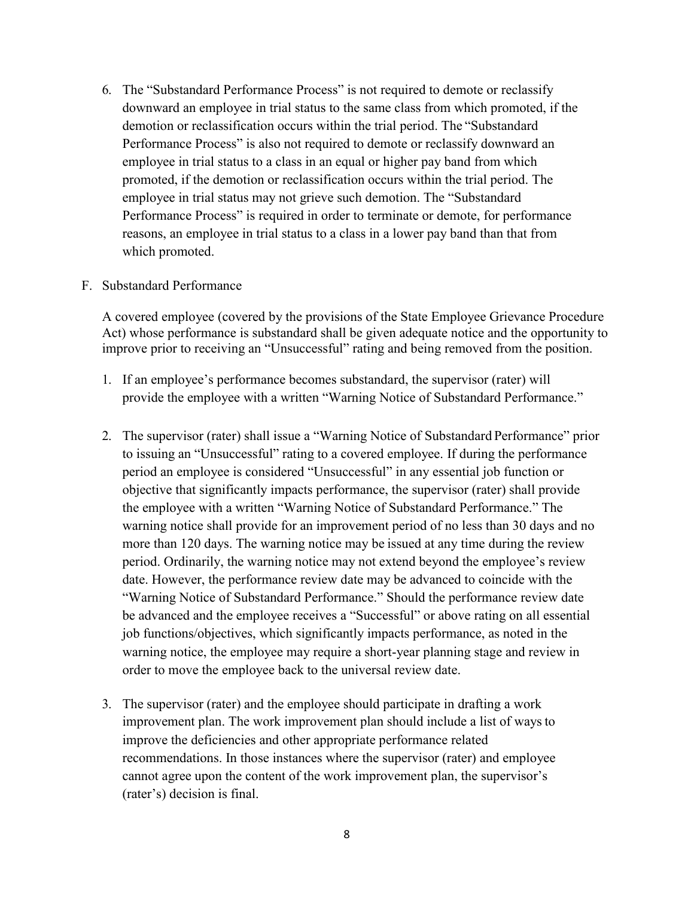6. The "Substandard Performance Process" is not required to demote or reclassify downward an employee in trial status to the same class from which promoted, if the demotion or reclassification occurs within the trial period. The "Substandard Performance Process" is also not required to demote or reclassify downward an employee in trial status to a class in an equal or higher pay band from which promoted, if the demotion or reclassification occurs within the trial period. The employee in trial status may not grieve such demotion. The "Substandard Performance Process" is required in order to terminate or demote, for performance reasons, an employee in trial status to a class in a lower pay band than that from which promoted.

#### F. Substandard Performance

A covered employee (covered by the provisions of the State Employee Grievance Procedure Act) whose performance is substandard shall be given adequate notice and the opportunity to improve prior to receiving an "Unsuccessful" rating and being removed from the position.

- 1. If an employee's performance becomes substandard, the supervisor (rater) will provide the employee with a written "Warning Notice of Substandard Performance."
- 2. The supervisor (rater) shall issue a "Warning Notice of Substandard Performance" prior to issuing an "Unsuccessful" rating to a covered employee. If during the performance period an employee is considered "Unsuccessful" in any essential job function or objective that significantly impacts performance, the supervisor (rater) shall provide the employee with a written "Warning Notice of Substandard Performance." The warning notice shall provide for an improvement period of no less than 30 days and no more than 120 days. The warning notice may be issued at any time during the review period. Ordinarily, the warning notice may not extend beyond the employee's review date. However, the performance review date may be advanced to coincide with the "Warning Notice of Substandard Performance." Should the performance review date be advanced and the employee receives a "Successful" or above rating on all essential job functions/objectives, which significantly impacts performance, as noted in the warning notice, the employee may require a short-year planning stage and review in order to move the employee back to the universal review date.
- 3. The supervisor (rater) and the employee should participate in drafting a work improvement plan. The work improvement plan should include a list of ways to improve the deficiencies and other appropriate performance related recommendations. In those instances where the supervisor (rater) and employee cannot agree upon the content of the work improvement plan, the supervisor's (rater's) decision is final.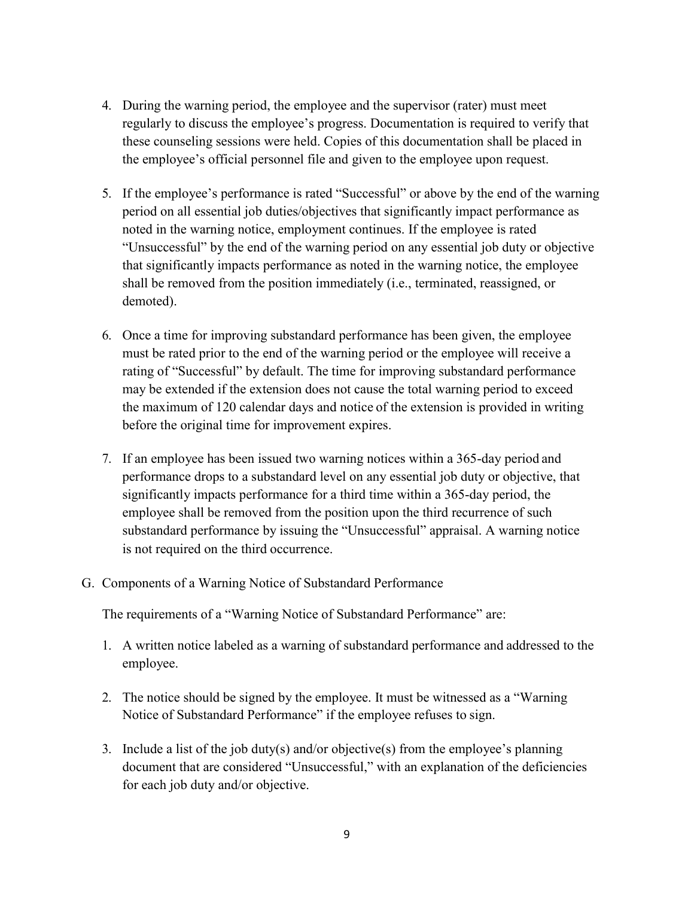- 4. During the warning period, the employee and the supervisor (rater) must meet regularly to discuss the employee's progress. Documentation is required to verify that these counseling sessions were held. Copies of this documentation shall be placed in the employee's official personnel file and given to the employee upon request.
- 5. If the employee's performance is rated "Successful" or above by the end of the warning period on all essential job duties/objectives that significantly impact performance as noted in the warning notice, employment continues. If the employee is rated "Unsuccessful" by the end of the warning period on any essential job duty or objective that significantly impacts performance as noted in the warning notice, the employee shall be removed from the position immediately (i.e., terminated, reassigned, or demoted).
- 6. Once a time for improving substandard performance has been given, the employee must be rated prior to the end of the warning period or the employee will receive a rating of "Successful" by default. The time for improving substandard performance may be extended if the extension does not cause the total warning period to exceed the maximum of 120 calendar days and notice of the extension is provided in writing before the original time for improvement expires.
- 7. If an employee has been issued two warning notices within a 365-day period and performance drops to a substandard level on any essential job duty or objective, that significantly impacts performance for a third time within a 365-day period, the employee shall be removed from the position upon the third recurrence of such substandard performance by issuing the "Unsuccessful" appraisal. A warning notice is not required on the third occurrence.
- G. Components of a Warning Notice of Substandard Performance

The requirements of a "Warning Notice of Substandard Performance" are:

- 1. A written notice labeled as a warning of substandard performance and addressed to the employee.
- 2. The notice should be signed by the employee. It must be witnessed as a "Warning Notice of Substandard Performance" if the employee refuses to sign.
- 3. Include a list of the job duty(s) and/or objective(s) from the employee's planning document that are considered "Unsuccessful," with an explanation of the deficiencies for each job duty and/or objective.